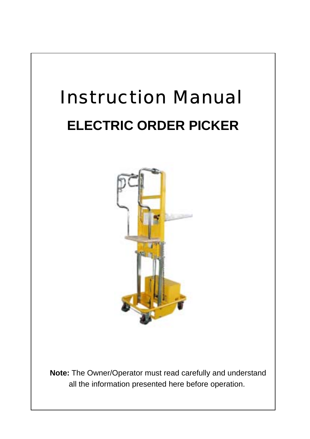

**Note:** The Owner/Operator must read carefully and understand all the information presented here before operation.

- 0 -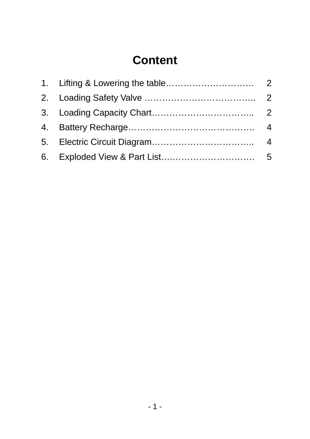# **Content**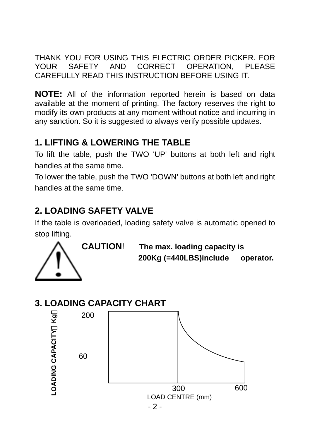THANK YOU FOR USING THIS ELECTRIC ORDER PICKER. FOR YOUR SAFETY AND CORRECT OPERATION, PLEASE CAREFULLY READ THIS INSTRUCTION BEFORE USING IT.

**NOTE:** All of the information reported herein is based on data available at the moment of printing. The factory reserves the right to modify its own products at any moment without notice and incurring in any sanction. So it is suggested to always verify possible updates.

### **1. LIFTING & LOWERING THE TABLE**

To lift the table, push the TWO 'UP' buttons at both left and right handles at the same time.

To lower the table, push the TWO 'DOWN' buttons at both left and right handles at the same time.

## **2. LOADING SAFETY VALVE**

If the table is overloaded, loading safety valve is automatic opened to stop lifting.



 **CAUTION**! **The max. loading capacity is 200Kg (=440LBS)include operator.** 

### **3. LOADING CAPACITY CHART**

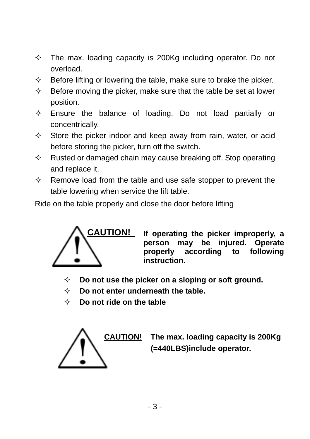- $\diamond$  The max. loading capacity is 200Kg including operator. Do not overload.
- $\Diamond$  Before lifting or lowering the table, make sure to brake the picker.
- $\Diamond$  Before moving the picker, make sure that the table be set at lower position.
- $\diamond$  Ensure the balance of loading. Do not load partially or concentrically.
- $\Diamond$  Store the picker indoor and keep away from rain, water, or acid before storing the picker, turn off the switch.
- $\Diamond$  Rusted or damaged chain may cause breaking off. Stop operating and replace it.
- $\Diamond$  Remove load from the table and use safe stopper to prevent the table lowering when service the lift table.

Ride on the table properly and close the door before lifting



**If operating the picker improperly, a person may be injured. Operate properly according to following instruction.**

- **Do not use the picker on a sloping or soft ground.**
- **Do not enter underneath the table.**
- **Do not ride on the table**



**The max. loading capacity is 200Kg (=440LBS)include operator.**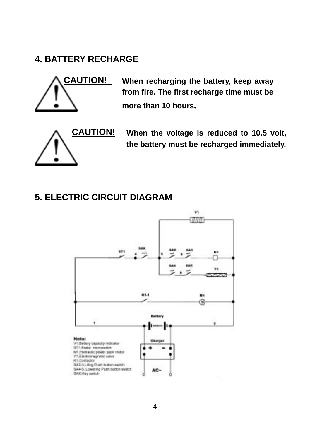#### **4. BATTERY RECHARGE**



**When recharging the battery, keep away from fire. The first recharge time must be more than 10 hours.** 



**CAUTION**! **When the voltage is reduced to 10.5 volt, the battery must be recharged immediately.** 

#### **5. ELECTRIC CIRCUIT DIAGRAM**

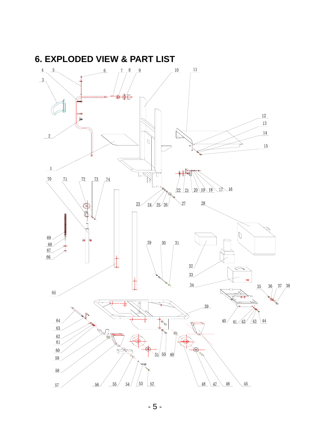

- 5 -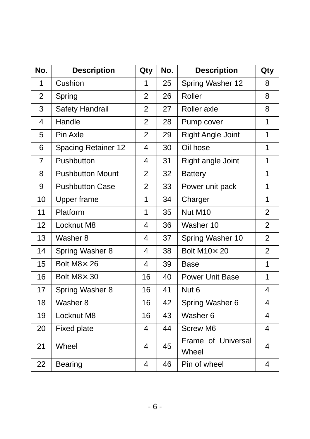| No.            | <b>Description</b>      | Qty            | No. | <b>Description</b>          | Qty            |
|----------------|-------------------------|----------------|-----|-----------------------------|----------------|
| 1              | Cushion                 | 1              | 25  | Spring Washer 12            | 8              |
| $\overline{2}$ | Spring                  | $\overline{2}$ | 26  | Roller                      | 8              |
| 3              | Safety Handrail         | $\overline{2}$ | 27  | Roller axle                 | 8              |
| $\overline{4}$ | Handle                  | $\overline{2}$ | 28  | Pump cover                  | $\mathbf{1}$   |
| 5              | Pin Axle                | $\overline{2}$ | 29  | Right Angle Joint           | 1              |
| 6              | Spacing Retainer 12     | 4              | 30  | Oil hose                    | 1              |
| $\overline{7}$ | Pushbutton              | 4              | 31  | Right angle Joint           | 1              |
| 8              | <b>Pushbutton Mount</b> | $\overline{2}$ | 32  | <b>Battery</b>              | 1              |
| 9              | <b>Pushbutton Case</b>  | $\overline{2}$ | 33  | Power unit pack             | $\mathbf{1}$   |
| 10             | Upper frame             | 1              | 34  | Charger                     | 1              |
| 11             | Platform                | 1              | 35  | Nut M10                     | $\overline{2}$ |
| 12             | Locknut M8              | 4              | 36  | Washer 10                   | $\overline{2}$ |
| 13             | Washer 8                | 4              | 37  | Spring Washer 10            | $\overline{2}$ |
| 14             | Spring Washer 8         | 4              | 38  | Bolt M10×20                 | $\overline{2}$ |
| 15             | Bolt M8× 26             | 4              | 39  | <b>Base</b>                 | 1              |
| 16             | Bolt M8× 30             | 16             | 40  | <b>Power Unit Base</b>      | $\mathbf{1}$   |
| 17             | Spring Washer 8         | 16             | 41  | Nut <sub>6</sub>            | 4              |
| 18             | Washer 8                | 16             | 42  | Spring Washer 6             | 4              |
| 19             | Locknut M8              | 16             | 43  | Washer 6                    | 4              |
| 20             | <b>Fixed plate</b>      | 4              | 44  | Screw M6                    | 4              |
| 21             | Wheel                   | 4              | 45  | Frame of Universal<br>Wheel | 4              |
| 22             | <b>Bearing</b>          | 4              | 46  | Pin of wheel                | 4              |